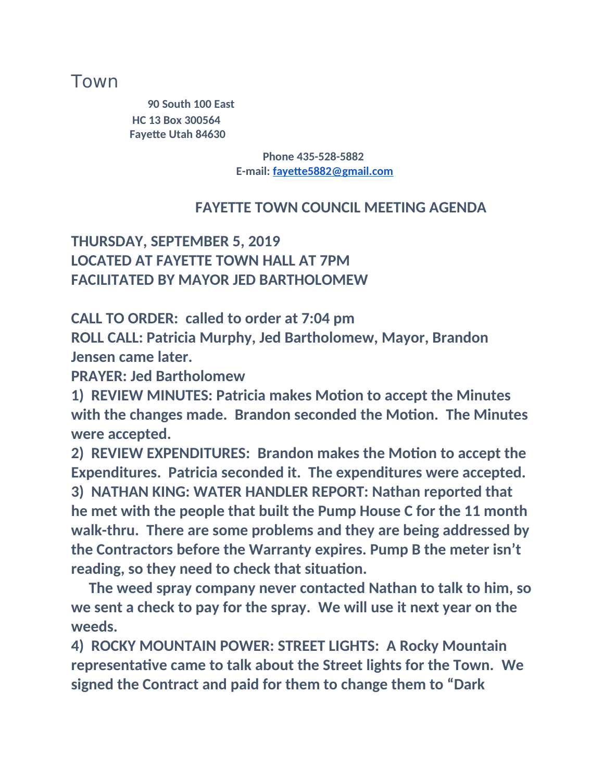# Town

**90 South 100 East HC 13 Box 300564 Fayette Utah 84630**

> **Phone 435-528-5882 E-mail: [fayette5882@gmail.com](mailto:fayette5882@gmail.com)**

#### **FAYETTE TOWN COUNCIL MEETING AGENDA**

### **THURSDAY, SEPTEMBER 5, 2019 LOCATED AT FAYETTE TOWN HALL AT 7PM FACILITATED BY MAYOR JED BARTHOLOMEW**

**CALL TO ORDER: called to order at 7:04 pm ROLL CALL: Patricia Murphy, Jed Bartholomew, Mayor, Brandon Jensen came later.**

**PRAYER: Jed Bartholomew**

**1) REVIEW MINUTES: Patricia makes Motion to accept the Minutes with the changes made. Brandon seconded the Motion. The Minutes were accepted.**

**2) REVIEW EXPENDITURES: Brandon makes the Motion to accept the Expenditures. Patricia seconded it. The expenditures were accepted. 3) NATHAN KING: WATER HANDLER REPORT: Nathan reported that he met with the people that built the Pump House C for the 11 month walk-thru. There are some problems and they are being addressed by the Contractors before the Warranty expires. Pump B the meter isn't reading, so they need to check that situation.**

**The weed spray company never contacted Nathan to talk to him, so we sent a check to pay for the spray. We will use it next year on the weeds.**

**4) ROCKY MOUNTAIN POWER: STREET LIGHTS: A Rocky Mountain representative came to talk about the Street lights for the Town. We signed the Contract and paid for them to change them to "Dark**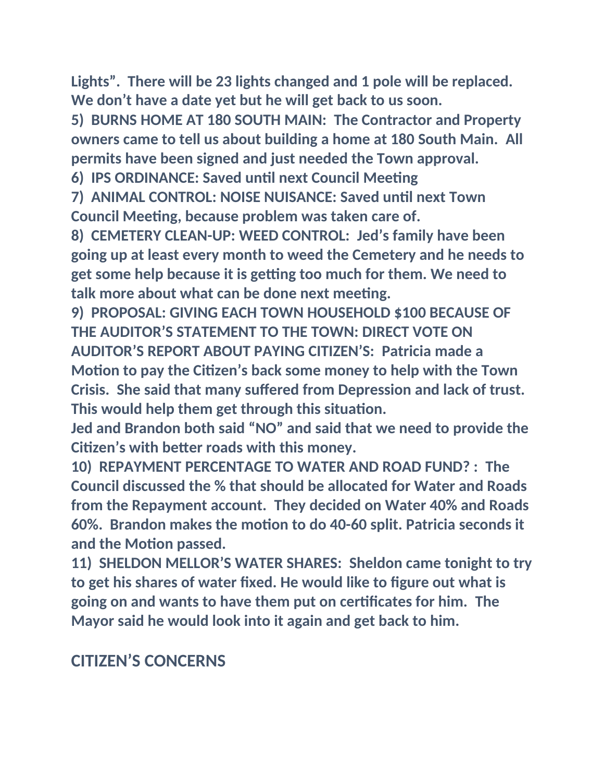**Lights". There will be 23 lights changed and 1 pole will be replaced. We don't have a date yet but he will get back to us soon.**

**5) BURNS HOME AT 180 SOUTH MAIN: The Contractor and Property owners came to tell us about building a home at 180 South Main. All permits have been signed and just needed the Town approval.**

**6) IPS ORDINANCE: Saved until next Council Meeting**

**7) ANIMAL CONTROL: NOISE NUISANCE: Saved until next Town Council Meeting, because problem was taken care of.**

**8) CEMETERY CLEAN-UP: WEED CONTROL: Jed's family have been going up at least every month to weed the Cemetery and he needs to get some help because it is getting too much for them. We need to talk more about what can be done next meeting.**

**9) PROPOSAL: GIVING EACH TOWN HOUSEHOLD \$100 BECAUSE OF THE AUDITOR'S STATEMENT TO THE TOWN: DIRECT VOTE ON AUDITOR'S REPORT ABOUT PAYING CITIZEN'S: Patricia made a Motion to pay the Citizen's back some money to help with the Town Crisis. She said that many suffered from Depression and lack of trust. This would help them get through this situation.**

**Jed and Brandon both said "NO" and said that we need to provide the Citizen's with better roads with this money.**

**10) REPAYMENT PERCENTAGE TO WATER AND ROAD FUND? : The Council discussed the % that should be allocated for Water and Roads from the Repayment account. They decided on Water 40% and Roads 60%. Brandon makes the motion to do 40-60 split. Patricia seconds it and the Motion passed.**

**11) SHELDON MELLOR'S WATER SHARES: Sheldon came tonight to try to get his shares of water fixed. He would like to figure out what is going on and wants to have them put on certificates for him. The Mayor said he would look into it again and get back to him.**

# **CITIZEN'S CONCERNS**